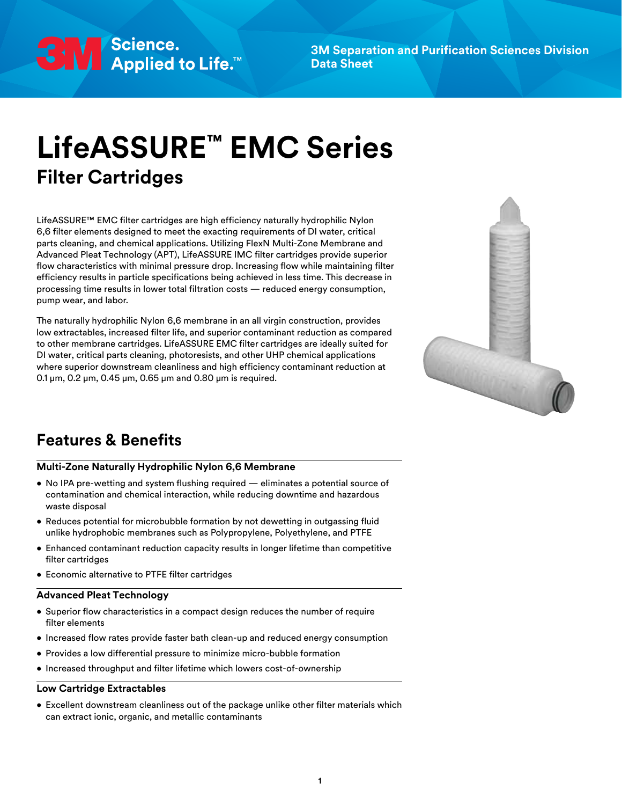

**3M Separation and Purification Sciences Division Data Sheet**

# **LifeASSURE™ EMC Series Filter Cartridges**

LifeASSURE™ EMC filter cartridges are high efficiency naturally hydrophilic Nylon 6,6 filter elements designed to meet the exacting requirements of DI water, critical parts cleaning, and chemical applications. Utilizing FlexN Multi-Zone Membrane and Advanced Pleat Technology (APT), LifeASSURE IMC filter cartridges provide superior flow characteristics with minimal pressure drop. Increasing flow while maintaining filter efficiency results in particle specifications being achieved in less time. This decrease in processing time results in lower total filtration costs — reduced energy consumption, pump wear, and labor.

The naturally hydrophilic Nylon 6,6 membrane in an all virgin construction, provides low extractables, increased filter life, and superior contaminant reduction as compared to other membrane cartridges. LifeASSURE EMC filter cartridges are ideally suited for DI water, critical parts cleaning, photoresists, and other UHP chemical applications where superior downstream cleanliness and high efficiency contaminant reduction at 0.1 μm, 0.2 μm, 0.45 μm, 0.65 μm and 0.80 μm is required.



# **Features & Benefits**

#### **Multi-Zone Naturally Hydrophilic Nylon 6,6 Membrane**

- No IPA pre-wetting and system flushing required eliminates a potential source of contamination and chemical interaction, while reducing downtime and hazardous waste disposal
- Reduces potential for microbubble formation by not dewetting in outgassing fluid unlike hydrophobic membranes such as Polypropylene, Polyethylene, and PTFE
- Enhanced contaminant reduction capacity results in longer lifetime than competitive filter cartridges
- Economic alternative to PTFE filter cartridges

## **Advanced Pleat Technology**

- Superior flow characteristics in a compact design reduces the number of require filter elements
- Increased flow rates provide faster bath clean-up and reduced energy consumption
- Provides a low differential pressure to minimize micro-bubble formation
- Increased throughput and filter lifetime which lowers cost-of-ownership

#### **Low Cartridge Extractables**

• Excellent downstream cleanliness out of the package unlike other filter materials which can extract ionic, organic, and metallic contaminants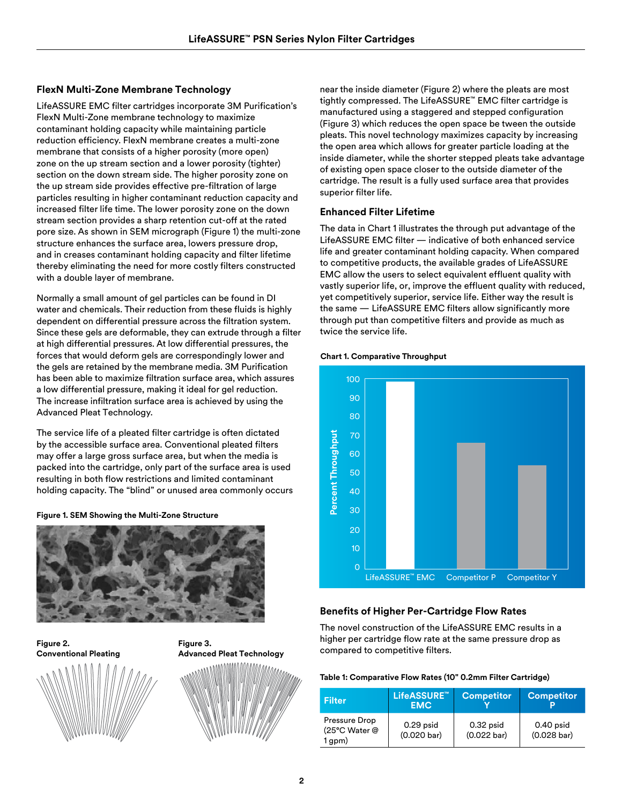# **FlexN Multi-Zone Membrane Technology**

LifeASSURE EMC filter cartridges incorporate 3M Purification's FlexN Multi-Zone membrane technology to maximize contaminant holding capacity while maintaining particle reduction efficiency. FlexN membrane creates a multi-zone membrane that consists of a higher porosity (more open) zone on the up stream section and a lower porosity (tighter) section on the down stream side. The higher porosity zone on the up stream side provides effective pre-filtration of large particles resulting in higher contaminant reduction capacity and increased filter life time. The lower porosity zone on the down stream section provides a sharp retention cut-off at the rated pore size. As shown in SEM micrograph (Figure 1) the multi-zone structure enhances the surface area, lowers pressure drop, and in creases contaminant holding capacity and filter lifetime thereby eliminating the need for more costly filters constructed with a double layer of membrane.

Normally a small amount of gel particles can be found in DI water and chemicals. Their reduction from these fluids is highly dependent on differential pressure across the filtration system. Since these gels are deformable, they can extrude through a filter at high differential pressures. At low differential pressures, the forces that would deform gels are correspondingly lower and the gels are retained by the membrane media. 3M Purification has been able to maximize filtration surface area, which assures a low differential pressure, making it ideal for gel reduction. The increase infiltration surface area is achieved by using the Advanced Pleat Technology.

The service life of a pleated filter cartridge is often dictated by the accessible surface area. Conventional pleated filters may offer a large gross surface area, but when the media is packed into the cartridge, only part of the surface area is used resulting in both flow restrictions and limited contaminant holding capacity. The "blind" or unused area commonly occurs

#### **Figure 1. SEM Showing the Multi-Zone Structure**



**Figure 2. Conventional Pleating**





near the inside diameter (Figure 2) where the pleats are most tightly compressed. The LifeASSURE™ EMC filter cartridge is manufactured using a staggered and stepped configuration (Figure 3) which reduces the open space be tween the outside pleats. This novel technology maximizes capacity by increasing the open area which allows for greater particle loading at the inside diameter, while the shorter stepped pleats take advantage of existing open space closer to the outside diameter of the cartridge. The result is a fully used surface area that provides superior filter life.

## **Enhanced Filter Lifetime**

The data in Chart 1 illustrates the through put advantage of the LifeASSURE EMC filter — indicative of both enhanced service life and greater contaminant holding capacity. When compared to competitive products, the available grades of LifeASSURE EMC allow the users to select equivalent effluent quality with vastly superior life, or, improve the effluent quality with reduced, yet competitively superior, service life. Either way the result is the same — LifeASSURE EMC filters allow significantly more through put than competitive filters and provide as much as twice the service life.

#### **Chart 1. Comparative Throughput**



# **Benefits of Higher Per-Cartridge Flow Rates**

The novel construction of the LifeASSURE EMC results in a higher per cartridge flow rate at the same pressure drop as compared to competitive filters.

#### **Table 1: Comparative Flow Rates (10" 0.2mm Filter Cartridge)**

| <b>Filter</b>                                 | LifeASSURE™<br><b>EMC</b>            | <b>Competitor</b>                    | <b>Competitor</b>                    |
|-----------------------------------------------|--------------------------------------|--------------------------------------|--------------------------------------|
| Pressure Drop<br>(25°C Water @<br>$1$ gpm $)$ | $0.29$ psid<br>$(0.020 \text{ bar})$ | $0.32$ psid<br>$(0.022 \text{ bar})$ | $0.40$ psid<br>$(0.028 \text{ bar})$ |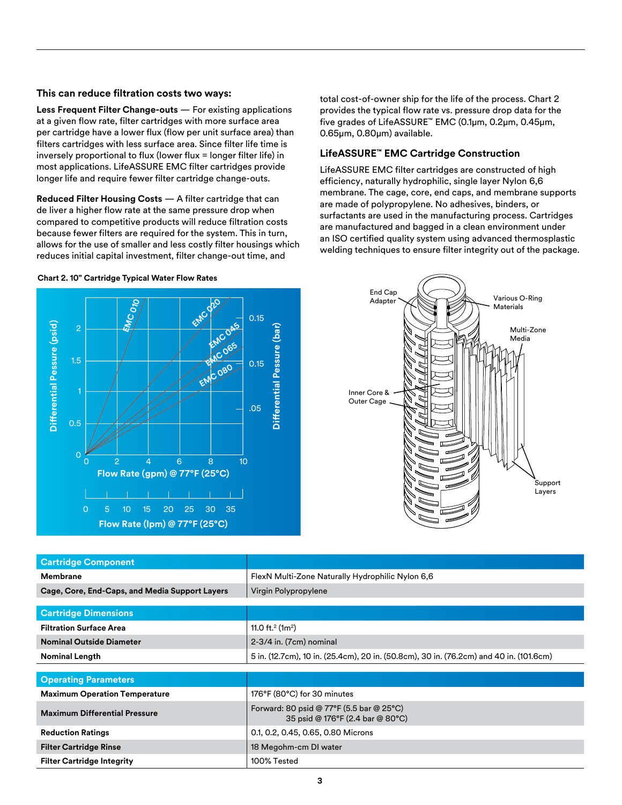#### **This can reduce filtration costs two ways:**

**Less Frequent Filter Change-outs** — For existing applications at a given flow rate, filter cartridges with more surface area per cartridge have a lower flux (flow per unit surface area) than filters cartridges with less surface area. Since filter life time is inversely proportional to flux (lower flux = longer filter life) in most applications. LifeASSURE EMC filter cartridges provide longer life and require fewer filter cartridge change-outs.

**Reduced Filter Housing Costs** — A filter cartridge that can de liver a higher flow rate at the same pressure drop when compared to competitive products will reduce filtration costs because fewer filters are required for the system. This in turn, allows for the use of smaller and less costly filter housings which reduces initial capital investment, filter change-out time, and

**Chart 2. 10" Cartridge Typical Water Flow Rates**



total cost-of-owner ship for the life of the process. Chart 2 provides the typical flow rate vs. pressure drop data for the five grades of LifeASSURE™ EMC (0.1μm, 0.2μm, 0.45μm, 0.65μm, 0.80μm) available.

## **LifeASSURE™ EMC Cartridge Construction**

LifeASSURE EMC filter cartridges are constructed of high efficiency, naturally hydrophilic, single layer Nylon 6,6 membrane. The cage, core, end caps, and membrane supports are made of polypropylene. No adhesives, binders, or surfactants are used in the manufacturing process. Cartridges are manufactured and bagged in a clean environment under an ISO certified quality system using advanced thermosplastic welding techniques to ensure filter integrity out of the package.



| Differential Pessure (psid)<br>ξ<br><b>MCOHS</b><br>$\overline{2}$<br>COGS<br>1.5<br>EMCO80<br>0.5<br>$\overline{0}$<br>$\overline{2}$<br>10<br>$\overline{\mathcal{A}}$<br>6<br>8<br>$\Omega$<br>Flow Rate (gpm) @ 77°F (25°C)<br>$\overline{O}$<br>10<br>35<br>5<br>15<br>20<br>25<br>30<br>Flow Rate (lpm) @ 77°F (25°C) | Differential Pessure (bar)<br>Multi-Zone<br>Media<br>0.15<br>Inner Core &<br>Outer Cage<br>.05<br>Support<br>Layers |  |  |
|-----------------------------------------------------------------------------------------------------------------------------------------------------------------------------------------------------------------------------------------------------------------------------------------------------------------------------|---------------------------------------------------------------------------------------------------------------------|--|--|
| <b>Cartridge Component</b>                                                                                                                                                                                                                                                                                                  |                                                                                                                     |  |  |
| Membrane                                                                                                                                                                                                                                                                                                                    | FlexN Multi-Zone Naturally Hydrophilic Nylon 6,6                                                                    |  |  |
| Cage, Core, End-Caps, and Media Support Layers                                                                                                                                                                                                                                                                              | Virgin Polypropylene                                                                                                |  |  |
| <b>Cartridge Dimensions</b>                                                                                                                                                                                                                                                                                                 |                                                                                                                     |  |  |
| <b>Filtration Surface Area</b>                                                                                                                                                                                                                                                                                              | 11.0 ft. <sup>2</sup> (1m <sup>2</sup> )                                                                            |  |  |
| <b>Nominal Outside Diameter</b>                                                                                                                                                                                                                                                                                             | 2-3/4 in. (7cm) nominal                                                                                             |  |  |
| <b>Nominal Length</b>                                                                                                                                                                                                                                                                                                       | 5 in. (12.7cm), 10 in. (25.4cm), 20 in. (50.8cm), 30 in. (76.2cm) and 40 in. (101.6cm)                              |  |  |
|                                                                                                                                                                                                                                                                                                                             |                                                                                                                     |  |  |
| <b>Operating Parameters</b>                                                                                                                                                                                                                                                                                                 |                                                                                                                     |  |  |
| <b>Maximum Operation Temperature</b>                                                                                                                                                                                                                                                                                        | 176°F (80°C) for 30 minutes                                                                                         |  |  |
| <b>Maximum Differential Pressure</b>                                                                                                                                                                                                                                                                                        | Forward: 80 psid @ 77°F (5.5 bar @ 25°C)<br>35 psid @ 176°F (2.4 bar @ 80°C)                                        |  |  |
| <b>Reduction Ratings</b>                                                                                                                                                                                                                                                                                                    | 0.1, 0.2, 0.45, 0.65, 0.80 Microns                                                                                  |  |  |
| <b>Filter Cartridge Rinse</b>                                                                                                                                                                                                                                                                                               | 18 Megohm-cm DI water                                                                                               |  |  |
| <b>Filter Cartridge Integrity</b>                                                                                                                                                                                                                                                                                           | 100% Tested                                                                                                         |  |  |